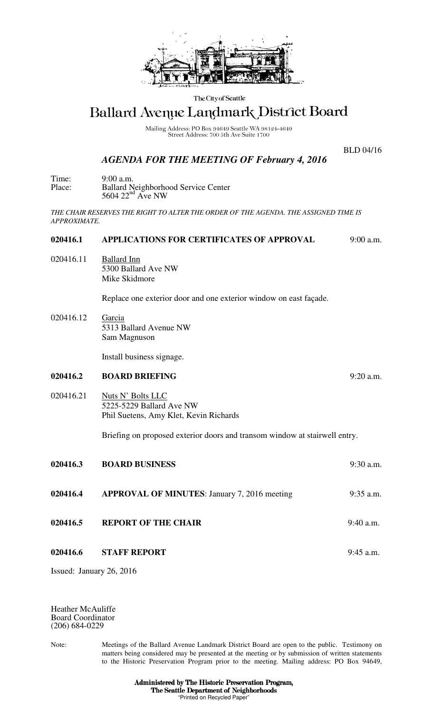

The City of Seattle

# Ballard Avenue Landmark District Board

Mailing Address: PO Box 94649 Seattle WA 98124-4649<br>Street Address: 700 5th Ave Suite 1700

BLD 04/16

# *AGENDA FOR THE MEETING OF February 4, 2016*

Time: 9:00 a.m. Place: Ballard Neighborhood Service Center 5604  $22<sup>nd</sup>$  Ave NW

*THE CHAIR RESERVES THE RIGHT TO ALTER THE ORDER OF THE AGENDA. THE ASSIGNED TIME IS APPROXIMATE.* 

## **020416.1 APPLICATIONS FOR CERTIFICATES OF APPROVAL** 9:00 a.m.

020416.11 Ballard Inn 5300 Ballard Ave NW Mike Skidmore

Replace one exterior door and one exterior window on east façade.

020416.12 Garcia 5313 Ballard Avenue NW Sam Magnuson

Install business signage.

#### **020416.2 BOARD BRIEFING** 9:20 a.m.

### 020416.21 Nuts N' Bolts LLC 5225-5229 Ballard Ave NW Phil Suetens, Amy Klet, Kevin Richards

Briefing on proposed exterior doors and transom window at stairwell entry.

| 020416.3 | <b>BOARD BUSINESS</b>                               | $9:30$ a.m. |
|----------|-----------------------------------------------------|-------------|
| 020416.4 | <b>APPROVAL OF MINUTES:</b> January 7, 2016 meeting | $9:35$ a.m. |
| 020416.5 | <b>REPORT OF THE CHAIR</b>                          | $9:40$ a.m. |
| 020416.6 | <b>STAFF REPORT</b>                                 | $9:45$ a.m. |

Issued: January 26, 2016

Heather McAuliffe Board Coordinator (206) 684-0229

Note: Meetings of the Ballard Avenue Landmark District Board are open to the public. Testimony on matters being considered may be presented at the meeting or by submission of written statements to the Historic Preservation Program prior to the meeting. Mailing address: PO Box 94649,